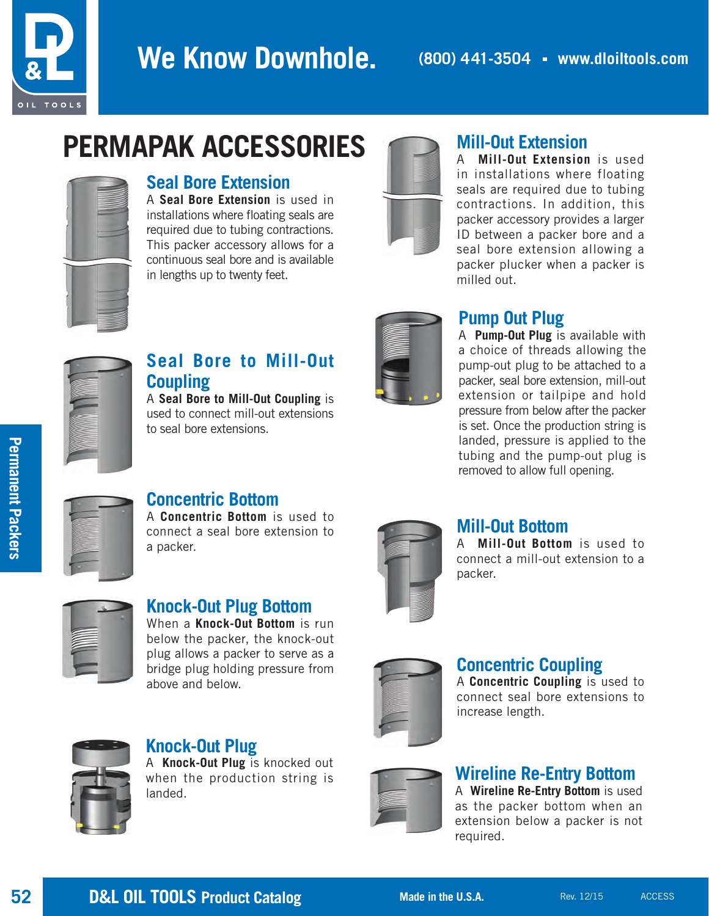

## We Know Downhole. **(800) 441-3504 · www.dloiltools.com**

# **PERMAPAK ACCESSORIES**



#### **Seal Bore Extension**

A **Seal Bore Extension** is used in installations where floating seals are required due to tubing contractions. This packer accessory allows for a continuous seal bore and is available in lengths up to twenty feet.



## **Mill-Out Extension**

A **Mill-Out Extension** is used in installations where floating seals are required due to tubing contractions. In addition, this packer accessory provides a larger ID between a packer bore and a seal bore extension allowing a packer plucker when a packer is milled out.



## **Seal Bore to Mill-Out Coupling**

A **Seal Bore to Mill-Out Coupling** is used to connect mill-out extensions to seal bore extensions.



## **Pump Out Plug**

A **Pump-Out Plug** is available with a choice of threads allowing the pump-out plug to be attached to a packer, seal bore extension, mill-out extension or tailpipe and hold pressure from below after the packer is set. Once the production string is landed, pressure is applied to the tubing and the pump-out plug is removed to allow full opening.



**Permanent Packers**

**Permanent Packers** 

## **Concentric Bottom**

A **Concentric Bottom** is used to connect a seal bore extension to a packer.



#### **Knock-Out Plug Bottom** When a **Knock-Out Bottom** is run

below the packer, the knock-out plug allows a packer to serve as a bridge plug holding pressure from above and below.



**Knock-Out Plug** A **Knock-Out Plug** is knocked out when the production string is landed.



#### **Mill-Out Bottom**

A **Mill-Out Bottom** is used to connect a mill-out extension to a packer.



#### **Concentric Coupling**

A **Concentric Coupling** is used to connect seal bore extensions to increase length.



#### **Wireline Re-Entry Bottom**

A **Wireline Re-Entry Bottom** is used as the packer bottom when an extension below a packer is not required.